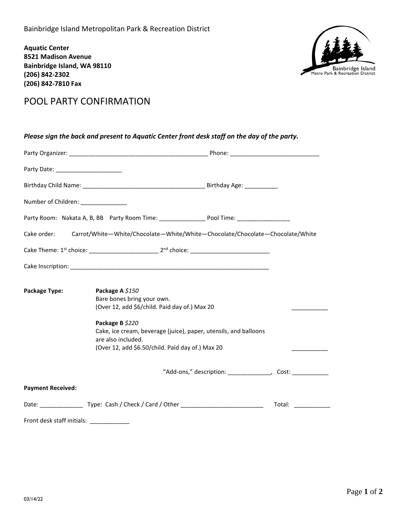**Aquatic Center 8521 Madison Avenue Bainbridge Island, WA 98110 (206) 842-2302 (206) 842-7810 Fax**



## POOL PARTY CONFIRMATION

| Please sign the back and present to Aquatic Center front desk staff on the day of the party. |                                                                                                                                                                                                                                                                 |                                                             |  |
|----------------------------------------------------------------------------------------------|-----------------------------------------------------------------------------------------------------------------------------------------------------------------------------------------------------------------------------------------------------------------|-------------------------------------------------------------|--|
|                                                                                              |                                                                                                                                                                                                                                                                 |                                                             |  |
|                                                                                              |                                                                                                                                                                                                                                                                 |                                                             |  |
|                                                                                              |                                                                                                                                                                                                                                                                 |                                                             |  |
| Number of Children: _______________                                                          |                                                                                                                                                                                                                                                                 |                                                             |  |
|                                                                                              |                                                                                                                                                                                                                                                                 |                                                             |  |
| Cake order:                                                                                  | Carrot/White-White/Chocolate-White/White-Chocolate/Chocolate-Chocolate/White                                                                                                                                                                                    |                                                             |  |
|                                                                                              |                                                                                                                                                                                                                                                                 |                                                             |  |
|                                                                                              |                                                                                                                                                                                                                                                                 |                                                             |  |
| Package Type:                                                                                | Package A \$150<br>Bare bones bring your own.<br>(Over 12, add \$6/child. Paid day of.) Max 20<br>Package B \$220<br>Cake, ice cream, beverage (juice), paper, utensils, and balloons<br>are also included.<br>(Over 12, add \$6.50/child. Paid day of.) Max 20 |                                                             |  |
|                                                                                              |                                                                                                                                                                                                                                                                 | "Add-ons," description: _______________, Cost: ____________ |  |
| <b>Payment Received:</b>                                                                     |                                                                                                                                                                                                                                                                 |                                                             |  |
|                                                                                              |                                                                                                                                                                                                                                                                 | Total: ______________                                       |  |
| Front desk staff initials:                                                                   |                                                                                                                                                                                                                                                                 |                                                             |  |